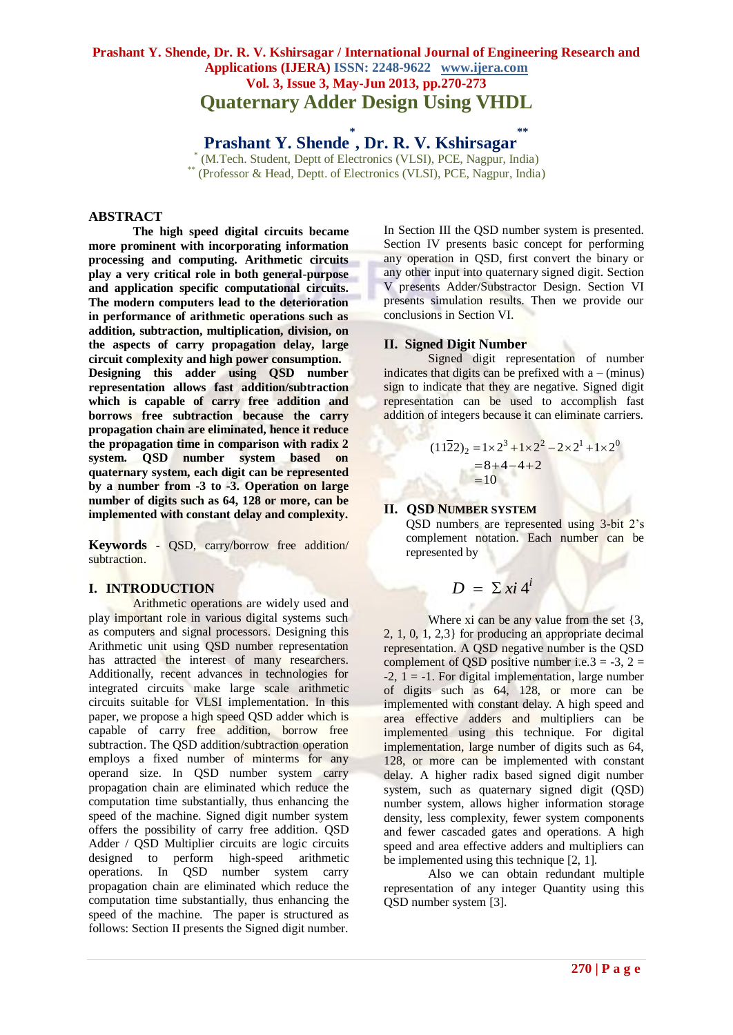# **Prashant Y. Shende, Dr. R. V. Kshirsagar / International Journal of Engineering Research and Applications (IJERA) ISSN: 2248-9622 www.ijera.com Vol. 3, Issue 3, May-Jun 2013, pp.270-273 Quaternary Adder Design Using VHDL**

**Prashant Y. Shende \* , Dr. R. V. Kshirsagar \*\***

\* (M.Tech. Student, Deptt of Electronics (VLSI), PCE, Nagpur, India) (Professor & Head, Deptt. of Electronics (VLSI), PCE, Nagpur, India)

### **ABSTRACT**

**The high speed digital circuits became more prominent with incorporating information processing and computing. Arithmetic circuits play a very critical role in both general-purpose and application specific computational circuits. The modern computers lead to the deterioration in performance of arithmetic operations such as addition, subtraction, multiplication, division, on the aspects of carry propagation delay, large circuit complexity and high power consumption. Designing this adder using QSD number representation allows fast addition/subtraction which is capable of carry free addition and borrows free subtraction because the carry propagation chain are eliminated, hence it reduce the propagation time in comparison with radix 2 system. QSD number system based on quaternary system, each digit can be represented by a number from -3 to -3. Operation on large number of digits such as 64, 128 or more, can be implemented with constant delay and complexity.** 

**Keywords -** QSD, carry/borrow free addition/ subtraction.

#### **I. INTRODUCTION**

Arithmetic operations are widely used and play important role in various digital systems such as computers and signal processors. Designing this Arithmetic unit using QSD number representation has attracted the interest of many researchers. Additionally, recent advances in technologies for integrated circuits make large scale arithmetic circuits suitable for VLSI implementation. In this paper, we propose a high speed QSD adder which is capable of carry free addition, borrow free subtraction. The QSD addition/subtraction operation employs a fixed number of minterms for any operand size. In QSD number system carry propagation chain are eliminated which reduce the computation time substantially, thus enhancing the speed of the machine. Signed digit number system offers the possibility of carry free addition. QSD Adder / QSD Multiplier circuits are logic circuits designed to perform high-speed arithmetic operations. In QSD number system carry propagation chain are eliminated which reduce the computation time substantially, thus enhancing the speed of the machine. The paper is structured as follows: Section II presents the Signed digit number.

In Section III the QSD number system is presented. Section IV presents basic concept for performing any operation in QSD, first convert the binary or any other input into quaternary signed digit. Section V presents Adder/Substractor Design. Section VI presents simulation results. Then we provide our conclusions in Section VI.

### **II. Signed Digit Number**

Signed digit representation of number indicates that digits can be prefixed with  $a - (minus)$ sign to indicate that they are negative. Signed digit representation can be used to accomplish fast addition of integers because it can eliminate carriers.

$$
(11\overline{2}2)_2 = 1 \times 2^3 + 1 \times 2^2 - 2 \times 2^1 + 1 \times 2^0
$$
  
= 8 + 4 - 4 + 2  
= 10

## **II. QSD NUMBER SYSTEM**

QSD numbers are represented using 3-bit 2's complement notation. Each number can be represented by

$$
D = \sum x i 4^i
$$

Where xi can be any value from the set  $\{3,$ 2, 1, 0, 1, 2,3} for producing an appropriate decimal representation. A QSD negative number is the QSD complement of QSD positive number i.e.  $3 = -3$ ,  $2 =$  $-2$ ,  $1 = -1$ . For digital implementation, large number of digits such as 64, 128, or more can be implemented with constant delay. A high speed and area effective adders and multipliers can be implemented using this technique. For digital implementation, large number of digits such as 64, 128, or more can be implemented with constant delay. A higher radix based signed digit number system, such as quaternary signed digit (QSD) number system, allows higher information storage density, less complexity, fewer system components and fewer cascaded gates and operations. A high speed and area effective adders and multipliers can be implemented using this technique [2, 1].

Also we can obtain redundant multiple representation of any integer Quantity using this QSD number system [3].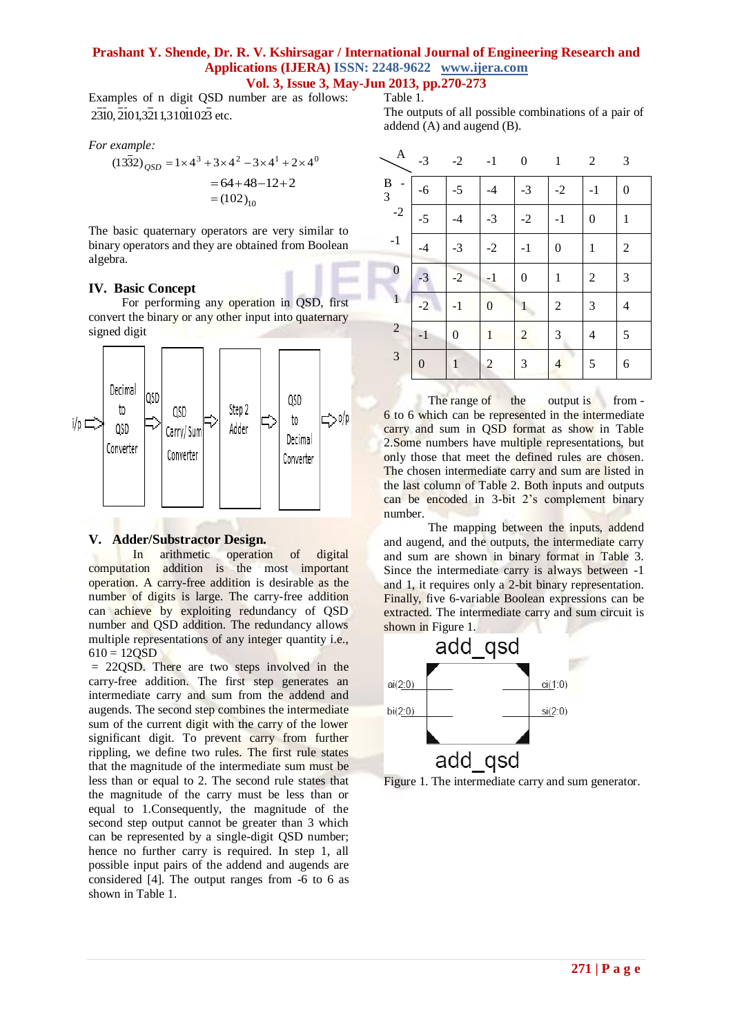### **Prashant Y. Shende, Dr. R. V. Kshirsagar / International Journal of Engineering Research and Applications (IJERA) ISSN: 2248-9622 www.ijera.com Vol. 3, Issue 3, May-Jun 2013, pp.270-273**

Table 1.

Examples of n digit QSD number are as follows: 2310, 2101,3211,31011023 etc.

*For example:*

$$
(1332)_{QSD} = 1 \times 4^3 + 3 \times 4^2 - 3 \times 4^1 + 2 \times 4^0
$$
  
= 64 + 48 - 12 + 2  
= (102)<sub>10</sub>

The basic quaternary operators are very similar to binary operators and they are obtained from Boolean algebra.

# **IV. Basic Concept**

For performing any operation in QSD, first convert the binary or any other input into quaternary signed digit



# **V. Adder/Substractor Design.**

In arithmetic operation of digital computation addition is the most important operation. A carry-free addition is desirable as the number of digits is large. The carry-free addition can achieve by exploiting redundancy of QSD number and QSD addition. The redundancy allows multiple representations of any integer quantity i.e.,  $610 = 120SD$ 

= 22QSD. There are two steps involved in the carry-free addition. The first step generates an intermediate carry and sum from the addend and augends. The second step combines the intermediate sum of the current digit with the carry of the lower significant digit. To prevent carry from further rippling, we define two rules. The first rule states that the magnitude of the intermediate sum must be less than or equal to 2. The second rule states that the magnitude of the carry must be less than or equal to 1.Consequently, the magnitude of the second step output cannot be greater than 3 which can be represented by a single-digit QSD number; hence no further carry is required. In step 1, all possible input pairs of the addend and augends are considered [4]. The output ranges from -6 to 6 as shown in Table 1.

The outputs of all possible combinations of a pair of addend (A) and augend (B).

| $\mathbf{A}$   | $-3$           | $-2$           | $-1$             | $\boldsymbol{0}$ | $\mathbf{1}$   | 2              | 3              |
|----------------|----------------|----------------|------------------|------------------|----------------|----------------|----------------|
| B<br>3         | $-6$           | $-5$           | $-4$             | $-3$             | $-2$           | $-1$           | 0              |
| $-2$           | $-5$           | $-4$           | $-3$             | $-2$             | $-1$           | 0              | $\mathbf{1}$   |
| $-1$           | $-4$           | $-3$           | $-2$             | $-1$             | $\overline{0}$ | $\mathbf{1}$   | $\overline{2}$ |
| $\mathbf{0}$   | $-3$           | $-2$           | $-1$             | $\boldsymbol{0}$ | $\mathbf{1}$   | 2              | 3              |
| $\mathbf{1}$   | $-2$           | $-1$           | $\boldsymbol{0}$ | $\mathbf{1}$     | 2              | 3              | 4              |
| $\overline{2}$ | $-1$           | $\overline{0}$ | $\mathbf{1}$     | $\overline{2}$   | 3              | $\overline{4}$ | 5              |
| $\mathfrak{Z}$ | $\overline{0}$ | $\mathbf{1}$   | $\overline{c}$   | 3                | 4              | 5              | 6              |

The range of the output is from -6 to 6 which can be represented in the intermediate carry and sum in QSD format as show in Table 2.Some numbers have multiple representations, but only those that meet the defined rules are chosen. The chosen intermediate carry and sum are listed in the last column of Table 2. Both inputs and outputs can be encoded in 3-bit 2's complement binary number.

The mapping between the inputs, addend and augend, and the outputs, the intermediate carry and sum are shown in binary format in Table 3. Since the intermediate carry is always between -1 and 1, it requires only a 2-bit binary representation. Finally, five 6-variable Boolean expressions can be extracted. The intermediate carry and sum circuit is shown in Figure 1.



Figure 1. The intermediate carry and sum generator.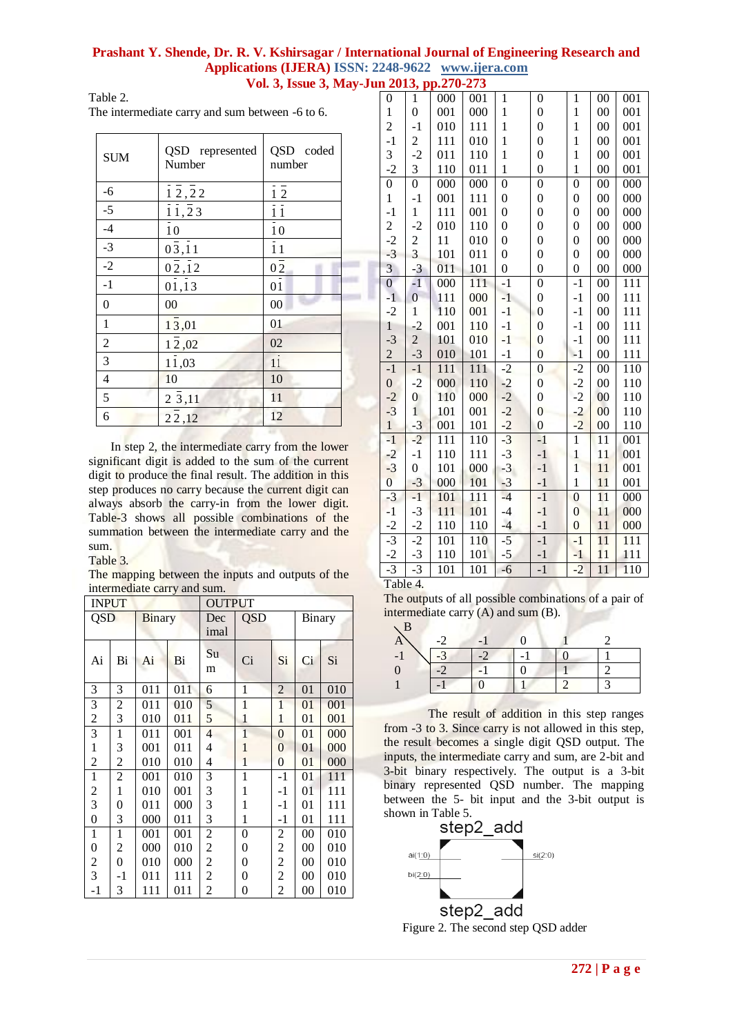### Prashant Y. Shende, Dr. R. V. Kshirsagar / International Journal of Engineering Research and Applications (IJERA) ISSN: 2248-9622 www.ijera.com Vol. 3, Issue 3, May-Jun 2013, pp.270-273

Table 2. The intermediate carry and sum between -6 to 6.

| <b>SUM</b>       | QSD represented<br>Number | QSD coded<br>number |
|------------------|---------------------------|---------------------|
| $-6$             | 12,22                     | $1\overline{2}$     |
| $-5$             | 11, 23                    | $\frac{1}{11}$      |
| $-4$             | $\overline{1}0$           | $\overline{10}$     |
| $-3$             | $0\bar{3}, 11$            | $\overline{1}1$     |
| $-2$             | $0\bar{2},\bar{1}2$       | $0\bar{2}$          |
| $-1$             | 01,13                     | $\overline{01}$     |
| $\boldsymbol{0}$ | 00                        | 00                  |
| $\mathbf{1}$     | 13,01                     | 01                  |
| $\sqrt{2}$       | 12,02                     | 02                  |
| 3                | 11,03                     | $1\overline{1}$     |
| $\overline{4}$   | 10                        | 10                  |
| $\sqrt{5}$       | 2 3,11                    | 11                  |
| 6                | 22,12                     | 12                  |

In step 2, the intermediate carry from the lower significant digit is added to the sum of the current digit to produce the final result. The addition in this step produces no carry because the current digit can always absorb the carry-in from the lower digit. Table-3 shows all possible combinations of the summation between the intermediate carry and the  $sum.$ 

### Table 3.

The mapping between the inputs and outputs of the intermediate carry and sum.

| <b>INPUT</b>            |                  |        | <b>OUTPUT</b> |                |                |                |                 |     |
|-------------------------|------------------|--------|---------------|----------------|----------------|----------------|-----------------|-----|
| <b>QSD</b>              |                  | Binary |               | Dec            | QSD            |                | <b>Binary</b>   |     |
|                         |                  |        |               | imal           |                |                |                 |     |
| Ai                      | Bi               | Ai     | Bi            | Su<br>m        | Ci             | Si             | Ci              | Si  |
| 3                       | 3                | 011    | 011           | 6              | 1              | $\overline{2}$ | 01              | 010 |
| $\overline{\mathbf{3}}$ | $\overline{c}$   | 011    | 010           | 5              | 1              | 1              | 01              | 001 |
| $\overline{c}$          | 3                | 010    | 011           | 5              | 1              | 1              | 01              | 001 |
| $\overline{3}$          | $\mathbf{1}$     | 011    | 001           | $\overline{4}$ | $\overline{1}$ | $\overline{0}$ | 01              | 000 |
| $\,1$                   | 3                | 001    | 011           | 4              | 1              | 0              | 01              | 000 |
| $\overline{c}$          | $\overline{c}$   | 010    | 010           | 4              | 1              | $\overline{0}$ | 01              | 000 |
| $\mathbf{1}$            | $\overline{c}$   | 001    | 010           | 3              | 1              | $-1$           | 01              | 111 |
| $\overline{c}$          | $\mathbf{1}$     | 010    | 001           | 3              | 1              | -1             | 01              | 111 |
| 3                       | 0                | 011    | 000           | 3              | 1              | $-1$           | 01              | 111 |
| $\overline{0}$          | 3                | 000    | 011           | 3              | 1              | -1             | 01              | 111 |
| $\mathbf{1}$            | $\mathbf{1}$     | 001    | 001           | $\overline{c}$ | 0              | $\overline{c}$ | $00\,$          | 010 |
| $\boldsymbol{0}$        | 2                | 000    | 010           | 2              | 0              | $\overline{c}$ | $00\,$          | 010 |
| $\boldsymbol{2}$        | $\boldsymbol{0}$ | 010    | 000           | 2              | 0              | $\overline{c}$ | $00\,$          | 010 |
| $\overline{3}$          | $-1$             | 011    | 111           | 2              | 0              | $\overline{c}$ | $00\,$          | 010 |
| $-1$                    | 3                | 111    | 011           | $\overline{c}$ | 0              | $\overline{2}$ | $\overline{00}$ | 010 |

| $\boldsymbol{0}$        | $\mathbf{1}$            | 000 | 001 | $\mathbf{1}$     | $\boldsymbol{0}$ | $\mathbf{1}$     | $00\,$          | 001              |
|-------------------------|-------------------------|-----|-----|------------------|------------------|------------------|-----------------|------------------|
| $\mathbf{1}$            | $\overline{0}$          | 001 | 000 | $\mathbf{1}$     | $\overline{0}$   | $\mathbf{1}$     | 00              | 001              |
| $\overline{c}$          | $-1$                    | 010 | 111 | $\mathbf{1}$     | $\boldsymbol{0}$ | $\mathbf{1}$     | $00\,$          | 001              |
| $-1$                    | $\overline{\mathbf{c}}$ | 111 | 010 | $\mathbf{1}$     | $\boldsymbol{0}$ | $\mathbf{1}$     | $00\,$          | 001              |
| 3                       | $-2$                    | 011 | 110 | $\mathbf{1}$     | $\overline{0}$   | $\mathbf{1}$     | 00              | 001              |
| $-2$                    | 3                       | 110 | 011 | $\mathbf{1}$     | $\overline{0}$   | $\mathbf{1}$     | $00\,$          | 001              |
| $\overline{0}$          | $\boldsymbol{0}$        | 000 | 000 | $\boldsymbol{0}$ | 0                | $\boldsymbol{0}$ | $00\,$          | 000              |
| $\mathbf 1$             | $-1$                    | 001 | 111 | $\overline{0}$   | $\overline{0}$   | $\overline{0}$   | 00              | 000              |
| $-1$                    | $\mathbf{1}$            | 111 | 001 | $\overline{0}$   | $\overline{0}$   | $\overline{0}$   | $00\,$          | 000              |
| $\frac{2}{-2}$          | $-2$                    | 010 | 110 | $\overline{0}$   | $\boldsymbol{0}$ | $\overline{0}$   | $00\,$          | 000              |
|                         | $\frac{2}{3}$           | 11  | 010 | $\overline{0}$   | $\overline{0}$   | $\overline{0}$   | 00              | 000              |
| $-3$                    |                         | 101 | 011 | $\overline{0}$   | $\overline{0}$   | $\overline{0}$   | 00              | 000              |
| $\overline{\mathbf{3}}$ | $-3$                    | 011 | 101 | $\overline{0}$   | $\boldsymbol{0}$ | $\overline{0}$   | $00\,$          | 000              |
| $\overline{0}$          | $-1$                    | 000 | 111 | $-1$             | $\boldsymbol{0}$ | $-1$             | 00              | 111              |
| $-1$                    | $\boldsymbol{0}$        | 111 | 000 | $-1$             | $\boldsymbol{0}$ | $-1$             | $00\,$          | 111              |
| $-2$                    | $\mathbf{1}$            | 110 | 001 | $-1$             | $\boldsymbol{0}$ | $-1$             | 00              | 111              |
| $\mathbf{1}$            | $-2$                    | 001 | 110 | $-1$             | $\overline{0}$   | $-1$             | 00              | 111              |
| $-3$                    | $\overline{c}$          | 101 | 010 | $-1$             | $\boldsymbol{0}$ | $-1$             | $00\,$          | 111              |
| $\overline{c}$          | $-3$                    | 010 | 101 | $-1$             | $\boldsymbol{0}$ | $-1$             | $00\,$          | 111              |
| $-1$                    | $-1$                    | 111 | 111 | $-2$             | $\boldsymbol{0}$ | $-2$             | $00\,$          | 110              |
| $\boldsymbol{0}$        | $-2$                    | 000 | 110 | $-2$             | $\boldsymbol{0}$ | $-2$             | 00              | 110              |
| $-2$                    | $\boldsymbol{0}$        | 110 | 000 | $-2$             | $\overline{0}$   | $-2$             | 00              | 110              |
| $-3$                    | $\mathbf{1}$            | 101 | 001 | $-2$             | $\overline{0}$   | $-2$             | 00              | 110              |
| $\mathbf{1}$            | $-3$                    | 001 | 101 | $-2$             | $\overline{0}$   | $-2$             | 00              | 110              |
| $-1$                    | $-2$                    | 111 | 110 | $-3$             | $-1$             | $\overline{1}$   | 11              | 001              |
| $-2$                    | $-1$                    | 110 | 111 | $-3$             | $-1$             | $\mathbf{1}$     | 11              | 001              |
| $-3$                    | $\boldsymbol{0}$        | 101 | 000 | $-3$             | $-1$             | $\overline{1}$   | 11              | 001              |
| $\overline{0}$          | $-3$                    | 000 | 101 | $-3$             | $-1$             | $\mathbf{1}$     | 11              | 001              |
| $-3$                    | $-1$                    | 101 | 111 | $-4$             | $-1$             | $\boldsymbol{0}$ | 11              | 000              |
| $-1$                    | $-3$                    | 111 | 101 | $-4$             | $-1$             | $\overline{0}$   | 11              | 000              |
| $-2$                    | $-2$                    | 110 | 110 | $-4$             | $-1$             | $\boldsymbol{0}$ | 11              | 000              |
| $-3$                    | $-2$                    | 101 | 110 | $-5$             | $-1$             | $-1$             | $\overline{11}$ | $\overline{111}$ |
| $-2$                    | $-3$                    | 110 | 101 | $-5$             | $-1$             | $-1$             | 11              | 111              |
| $-3$                    | $-3$                    | 101 | 101 | $-6$             | $-1$             | $-2$             | 11              | 110              |
| 1.1                     | $\overline{1}$          |     |     |                  |                  |                  |                 |                  |

Table 4.

The outputs of all possible combinations of a pair of intermediate carry  $(A)$  and sum  $(B)$ .

The result of addition in this step ranges from -3 to 3. Since carry is not allowed in this step, the result becomes a single digit QSD output. The inputs, the intermediate carry and sum, are 2-bit and 3-bit binary respectively. The output is a 3-bit binary represented QSD number. The mapping between the 5- bit input and the 3-bit output is shown in Table 5.



Figure 2. The second step QSD adder